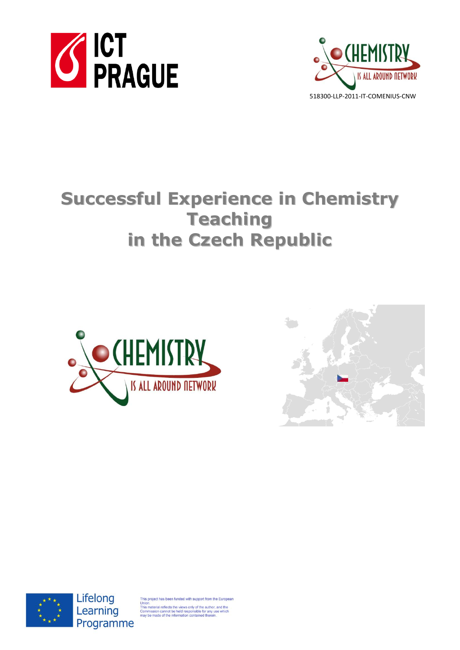



# **Successful Experience in Chemistry Teaching in the Czech Republic**







Lifelong is project has been funded with support from the European Union.<br>This material reflects the views only of the author, and the<br>Commission cannot be held responsible for any use which<br>may be made of the information contained therein. Learning

Programme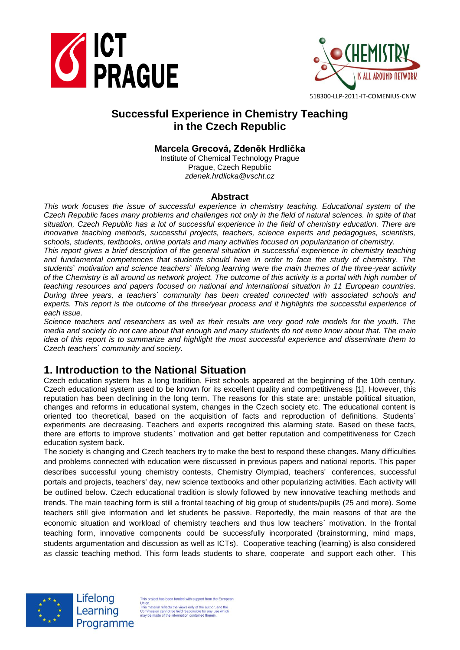



# **Successful Experience in Chemistry Teaching in the Czech Republic**

# **Marcela Grecová, Zdeněk Hrdlička**

Institute of Chemical Technology Prague Prague, Czech Republic *zdenek.hrdlicka@vscht.cz*

## **Abstract**

*This work focuses the issue of successful experience in chemistry teaching. Educational system of the Czech Republic faces many problems and challenges not only in the field of natural sciences. In spite of that situation, Czech Republic has a lot of successful experience in the field of chemistry education. There are innovative teaching methods, successful projects, teachers, science experts and pedagogues, scientists, schools, students, textbooks, online portals and many activities focused on popularization of chemistry.*

*This report gives a brief description of the general situation in successful experience in chemistry teaching and fundamental competences that students should have in order to face the study of chemistry. The students` motivation and science teachers` lifelong learning were the main themes of the three-year activity of the Chemistry is all around us network project. The outcome of this activity is a portal with high number of teaching resources and papers focused on national and international situation in 11 European countries. During three years, a teachers` community has been created connected with associated schools and*  experts. This report is the outcome of the three/year process and it highlights the successful experience of *each issue.* 

*Science teachers and researchers as well as their results are very good role models for the youth. The media and society do not care about that enough and many students do not even know about that. The main idea of this report is to summarize and highlight the most successful experience and disseminate them to Czech teachers` community and society.*

# **1. Introduction to the National Situation**

Czech education system has a long tradition. First schools appeared at the beginning of the 10th century. Czech educational system used to be known for its excellent quality and competitiveness [1]. However, this reputation has been declining in the long term. The reasons for this state are: unstable political situation, changes and reforms in educational system, changes in the Czech society etc. The educational content is oriented too theoretical, based on the acquisition of facts and reproduction of definitions. Students` experiments are decreasing. Teachers and experts recognized this alarming state. Based on these facts, there are efforts to improve students` motivation and get better reputation and competitiveness for Czech education system back.

The society is changing and Czech teachers try to make the best to respond these changes. Many difficulties and problems connected with education were discussed in previous papers and national reports. This paper describes successful young chemistry contests, Chemistry Olympiad, teachers' conferences, successful portals and projects, teachers' day, new science textbooks and other popularizing activities. Each activity will be outlined below. Czech educational tradition is slowly followed by new innovative teaching methods and trends. The main teaching form is still a frontal teaching of big group of students/pupils (25 and more). Some teachers still give information and let students be passive. Reportedly, the main reasons of that are the economic situation and workload of chemistry teachers and thus low teachers` motivation. In the frontal teaching form, innovative components could be successfully incorporated (brainstorming, mind maps, students argumentation and discussion as well as ICTs). Cooperative teaching (learning) is also considered as classic teaching method. This form leads students to share, cooperate and support each other. This



Lifelong

Learning Programme

his project has been funded with support from the European Union.<br>This material reflects the views only of the author, and the<br>Commission cannot be held responsible for any use which<br>may be made of the information contained therein.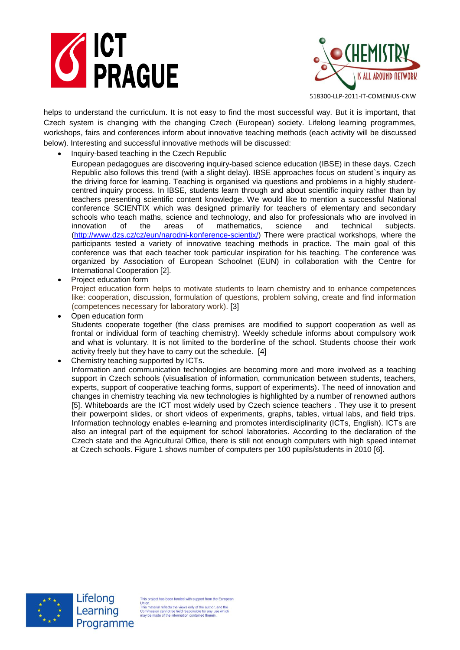



helps to understand the curriculum. It is not easy to find the most successful way. But it is important, that Czech system is changing with the changing Czech (European) society. Lifelong learning programmes, workshops, fairs and conferences inform about innovative teaching methods (each activity will be discussed below). Interesting and successful innovative methods will be discussed:

- Inquiry-based teaching in the Czech Republic
	- European pedagogues are discovering inquiry-based science education (IBSE) in these days. Czech Republic also follows this trend (with a slight delay). IBSE approaches focus on student`s inquiry as the driving force for learning. Teaching is organised via questions and problems in a highly studentcentred inquiry process. In IBSE, students learn through and about scientific inquiry rather than by teachers presenting scientific content knowledge. We would like to mention a successful National conference SCIENTIX which was designed primarily for teachers of elementary and secondary schools who teach maths, science and technology, and also for professionals who are involved in innovation of the areas of mathematics, science and technical subjects. [\(http://www.dzs.cz/cz/eun/narodni-konference-scientix/\)](http://www.dzs.cz/cz/eun/narodni-konference-scientix/) There were practical workshops, where the participants tested a variety of innovative teaching methods in practice. The main goal of this conference was that each teacher took particular inspiration for his teaching. The conference was organized by Association of European Schoolnet (EUN) in collaboration with the Centre for International Cooperation [2].
- Project education form Project education form helps to motivate students to learn chemistry and to enhance competences like: cooperation, discussion, formulation of questions, problem solving, create and find information (competences necessary for laboratory work). [3]
- Open education form Students cooperate together (the class premises are modified to support cooperation as well as frontal or individual form of teaching chemistry). Weekly schedule informs about compulsory work and what is voluntary. It is not limited to the borderline of the school. Students choose their work activity freely but they have to carry out the schedule. [4]
- Chemistry teaching supported by ICTs. Information and communication technologies are becoming more and more involved as a teaching support in Czech schools (visualisation of information, communication between students, teachers, experts, support of cooperative teaching forms, support of experiments). The need of innovation and changes in chemistry teaching via new technologies is highlighted by a number of renowned authors [5]. Whiteboards are the ICT most widely used by Czech science teachers . They use it to present their powerpoint slides, or short videos of experiments, graphs, tables, virtual labs, and field trips. Information technology enables e-learning and promotes interdisciplinarity (ICTs, English). ICTs are also an integral part of the equipment for school laboratories. According to the declaration of the Czech state and the Agricultural Office, there is still not enough computers with high speed internet at Czech schools. Figure 1 shows number of computers per 100 pupils/students in 2010 [6].



Lifelong

Learning Programme

is project has been funded with support from the European Union.<br>This material reflects the views only of the author, and the<br>Commission cannot be held responsible for any use which<br>may be made of the information contained therein.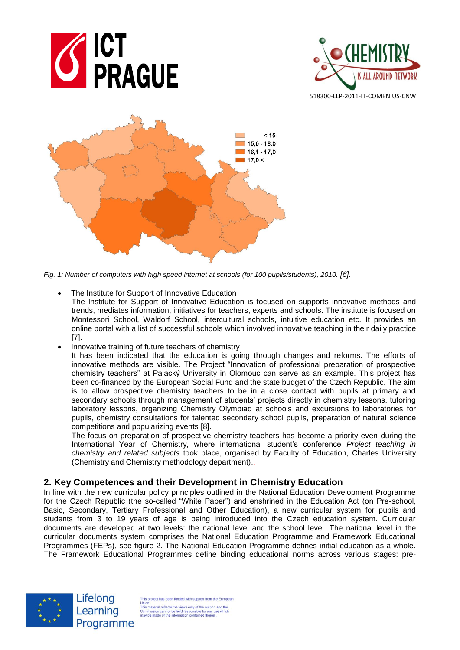





*Fig. 1: Number of computers with high speed internet at schools (for 100 pupils/students), 2010.* [6].

The Institute for Support of Innovative Education

The Institute for Support of Innovative Education is focused on supports innovative methods and trends, mediates information, initiatives for teachers, experts and schools. The institute is focused on Montessori School, Waldorf School, intercultural schools, intuitive education etc. It provides an online portal with a list of successful schools which involved innovative teaching in their daily practice [7].

• Innovative training of future teachers of chemistry

It has been indicated that the education is going through changes and reforms. The efforts of innovative methods are visible. The Project "Innovation of professional preparation of prospective chemistry teachers" at Palacký University in Olomouc can serve as an example. This project has been co-financed by the European Social Fund and the state budget of the Czech Republic. The aim is to allow prospective chemistry teachers to be in a close contact with pupils at primary and secondary schools through management of students' projects directly in chemistry lessons, tutoring laboratory lessons, organizing Chemistry Olympiad at schools and excursions to laboratories for pupils, chemistry consultations for talented secondary school pupils, preparation of natural science competitions and popularizing events [8].

The focus on preparation of prospective chemistry teachers has become a priority even during the International Year of Chemistry, where international student's conference *Project teaching in chemistry and related subjects* took place, organised by Faculty of Education, Charles University (Chemistry and Chemistry methodology department)..

#### **2. Key Competences and their Development in Chemistry Education**

In line with the new curricular policy principles outlined in the National Education Development Programme for the Czech Republic (the so-called "White Paper") and enshrined in the Education Act (on Pre-school, Basic, Secondary, Tertiary Professional and Other Education), a new curricular system for pupils and students from 3 to 19 years of age is being introduced into the Czech education system. Curricular documents are developed at two levels: the national level and the school level. The national level in the curricular documents system comprises the National Education Programme and Framework Educational Programmes (FEPs), see figure 2. The National Education Programme defines initial education as a whole. The Framework Educational Programmes define binding educational norms across various stages: pre-



his project has been funded with support from the European Union.<br>This material reflects the views only of the author, and the<br>Commission cannot be held responsible for any use which<br>may be made of the information contained therein.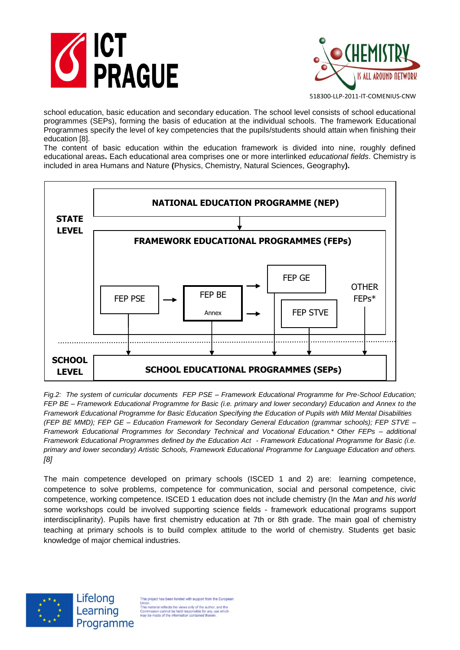



school education, basic education and secondary education. The school level consists of school educational programmes (SEPs), forming the basis of education at the individual schools. The framework Educational Programmes specify the level of key competencies that the pupils/students should attain when finishing their education [8].

The content of basic education within the education framework is divided into nine, roughly defined educational areas**.** Each educational area comprises one or more interlinked *educational fields*. Chemistry is included in area Humans and Nature **(**Physics, Chemistry, Natural Sciences, Geography**).**



*Fig.2: The system of curricular documents FEP PSE – Framework Educational Programme for Pre-School Education; FEP BE – Framework Educational Programme for Basic (i.e. primary and lower secondary) Education and Annex to the Framework Educational Programme for Basic Education Specifying the Education of Pupils with Mild Mental Disabilities (FEP BE MMD); FEP GE – Education Framework for Secondary General Education (grammar schools); FEP STVE – Framework Educational Programmes for Secondary Technical and Vocational Education.\* Other FEPs – additional Framework Educational Programmes defined by the Education Act - Framework Educational Programme for Basic (i.e. primary and lower secondary) Artistic Schools, Framework Educational Programme for Language Education and others. [8]*

The main competence developed on primary schools (ISCED 1 and 2) are: learning competence, competence to solve problems, competence for communication, social and personal competence, civic competence, working competence. ISCED 1 education does not include chemistry (In the *Man and his world* some workshops could be involved supporting science fields - framework educational programs support interdisciplinarity). Pupils have first chemistry education at 7th or 8th grade. The main goal of chemistry teaching at primary schools is to build complex attitude to the world of chemistry. Students get basic knowledge of major chemical industries.



Lifelong

Learning Programme

his project has been funded with support from the European Union.<br>This material reflects the views only of the author, and the<br>Commission cannot be held responsible for any use which<br>may be made of the information contained therein.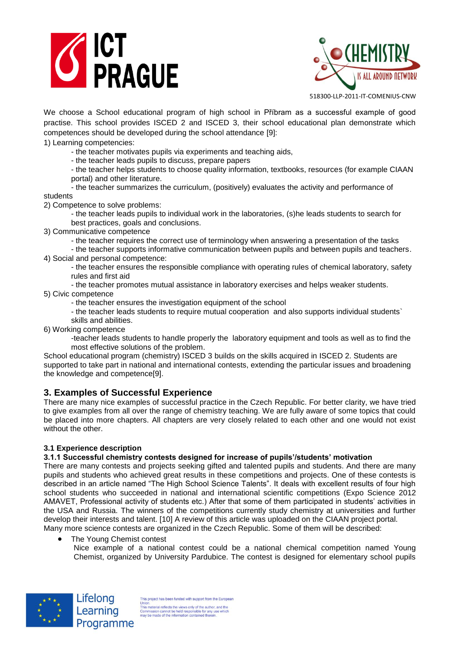



We choose a School educational program of high school in Příbram as a successful example of good practise. This school provides ISCED 2 and ISCED 3, their school educational plan demonstrate which competences should be developed during the school attendance [9]:

1) Learning competencies:

- the teacher motivates pupils via experiments and teaching aids,
- the teacher leads pupils to discuss, prepare papers

- the teacher helps students to choose quality information, textbooks, resources (for example CIAAN portal) and other literature.

- the teacher summarizes the curriculum, (positively) evaluates the activity and performance of students

2) Competence to solve problems:

- the teacher leads pupils to individual work in the laboratories, (s)he leads students to search for best practices, goals and conclusions.

3) Communicative competence

- the teacher requires the correct use of terminology when answering a presentation of the tasks

- the teacher supports informative communication between pupils and between pupils and teachers. 4) Social and personal competence:

- the teacher ensures the responsible compliance with operating rules of chemical laboratory, safety rules and first aid

- the teacher promotes mutual assistance in laboratory exercises and helps weaker students.

5) Civic competence

- the teacher ensures the investigation equipment of the school

- the teacher leads students to require mutual cooperation and also supports individual students` skills and abilities.

6) Working competence

-teacher leads students to handle properly the laboratory equipment and tools as well as to find the most effective solutions of the problem.

School educational program (chemistry) ISCED 3 builds on the skills acquired in ISCED 2. Students are supported to take part in national and international contests, extending the particular issues and broadening the knowledge and competence[9].

## **3. Examples of Successful Experience**

There are many nice examples of successful practice in the Czech Republic. For better clarity, we have tried to give examples from all over the range of chemistry teaching. We are fully aware of some topics that could be placed into more chapters. All chapters are very closely related to each other and one would not exist without the other.

#### **3.1 Experience description**

#### **3.1.1 Successful chemistry contests designed for increase of pupils'/students' motivation**

There are many contests and projects seeking gifted and talented pupils and students. And there are many pupils and students who achieved great results in these competitions and projects. One of these contests is described in an article named "The High School Science Talents". It deals with excellent results of four high school students who succeeded in national and international scientific competitions (Expo Science 2012 AMAVET, Professional activity of students etc.) After that some of them participated in students' activities in the USA and Russia. The winners of the competitions currently study chemistry at universities and further develop their interests and talent. [10] A review of this article was uploaded on the CIAAN project portal. Many more science contests are organized in the Czech Republic. Some of them will be described:

• The Young Chemist contest

Lifelong

Programme

Nice example of a national contest could be a national chemical competition named Young Chemist, organized by University Pardubice. The contest is designed for elementary school pupils



his project has been funded with support from the European Union.<br>This material reflects the views only of the author, and the Commission cannot be held responsible for any use which<br>may be made of the information contained therein.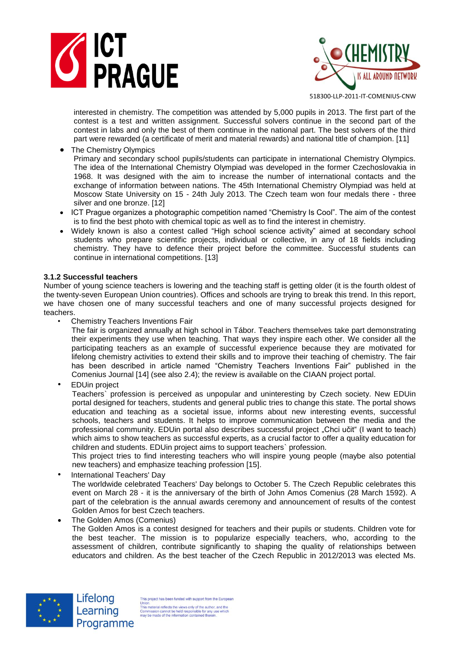



interested in chemistry. The competition was attended by 5,000 pupils in 2013. The first part of the contest is a test and written assignment. Successful solvers continue in the second part of the contest in labs and only the best of them continue in the national part. The best solvers of the third part were rewarded (a certificate of merit and material rewards) and national title of champion. [11]

The Chemistry Olympics

Primary and secondary school pupils/students can participate in international Chemistry Olympics. The idea of the International Chemistry Olympiad was developed in the former Czechoslovakia in 1968. It was designed with the aim to increase the number of international contacts and the exchange of information between nations. The 45th International Chemistry Olympiad was held at Moscow State University on 15 - 24th July 2013. The Czech team won four medals there - three silver and one bronze. [12]

- ICT Prague organizes a photographic competition named "Chemistry Is Cool". The aim of the contest is to find the best photo with chemical topic as well as to find the interest in chemistry.
- Widely known is also a contest called "High school science activity" aimed at secondary school students who prepare scientific projects, individual or collective, in any of 18 fields including chemistry. They have to defence their project before the committee. Successful students can continue in international competitions. [13]

#### **3.1.2 Successful teachers**

Number of young science teachers is lowering and the teaching staff is getting older (it is the fourth oldest of the twenty-seven European Union countries). Offices and schools are trying to break this trend. In this report, we have chosen one of many successful teachers and one of many successful projects designed for teachers.

• Chemistry Teachers Inventions Fair

The fair is organized annually at high school in Tábor. Teachers themselves take part demonstrating their experiments they use when teaching. That ways they inspire each other. We consider all the participating teachers as an example of successful experience because they are motivated for lifelong chemistry activities to extend their skills and to improve their teaching of chemistry. The fair has been described in article named "Chemistry Teachers Inventions Fair" published in the Comenius Journal [14] (see also 2.4); the review is available on the CIAAN project portal.

• EDUin project

Teachers` profession is perceived as unpopular and uninteresting by Czech society. New EDUin portal designed for teachers, students and general public tries to change this state. The portal shows education and teaching as a societal issue, informs about new interesting events, successful schools, teachers and students. It helps to improve communication between the media and the professional community. EDUin portal also describes successful project "Chci učit" (I want to teach) which aims to show teachers as successful experts, as a crucial factor to offer a quality education for children and students. EDUin project aims to support teachers` profession.

This project tries to find interesting teachers who will inspire young people (maybe also potential new teachers) and emphasize teaching profession [15].

- International Teachers' Day The worldwide celebrated Teachers' Day belongs to October 5. The Czech Republic celebrates this event on March 28 - it is the anniversary of the birth of John Amos Comenius (28 March 1592). A part of the celebration is the annual awards ceremony and announcement of results of the contest Golden Amos for best Czech teachers.
- The Golden Amos (Comenius) The Golden Amos is a contest designed for teachers and their pupils or students. Children vote for the best teacher. The mission is to popularize especially teachers, who, according to the assessment of children, contribute significantly to shaping the quality of relationships between educators and children. As the best teacher of the Czech Republic in 2012/2013 was elected Ms.



Lifelong

Learning

is project has been funded with support from the European Union.<br>This material reflects the views only of the author, and the Commission cannot be held responsible for any use which<br>may be made of the information contained therein. Programme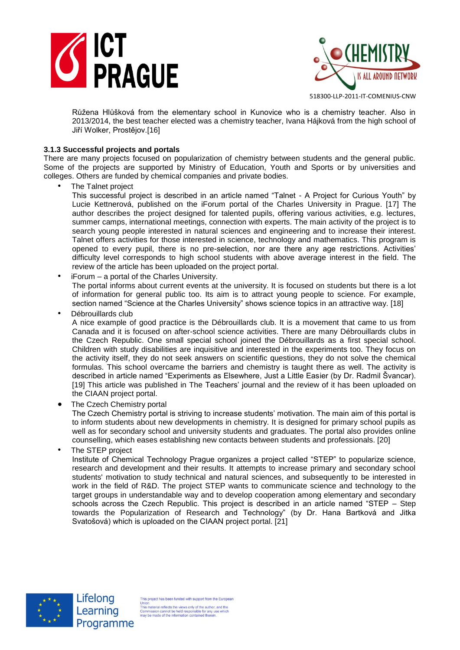



Růžena Hlůšková from the elementary school in Kunovice who is a chemistry teacher. Also in 2013/2014, the best teacher elected was a chemistry teacher, Ivana Hájková from the high school of Jiří Wolker, Prostějov.[16]

#### **3.1.3 Successful projects and portals**

There are many projects focused on popularization of chemistry between students and the general public. Some of the projects are supported by Ministry of Education, Youth and Sports or by universities and colleges. Others are funded by chemical companies and private bodies.

The Talnet project

This successful project is described in an article named "Talnet - A Project for Curious Youth" by Lucie Kettnerová, published on the iForum portal of the Charles University in Prague. [17] The author describes the project designed for talented pupils, offering various activities, e.g. lectures, summer camps, international meetings, connection with experts. The main activity of the project is to search young people interested in natural sciences and engineering and to increase their interest. Talnet offers activities for those interested in science, technology and mathematics. This program is opened to every pupil, there is no pre-selection, nor are there any age restrictions. Activities' difficulty level corresponds to high school students with above average interest in the field. The review of the article has been uploaded on the project portal.

- iForum a portal of the Charles University. The portal informs about current events at the university. It is focused on students but there is a lot of information for general public too. Its aim is to attract young people to science. For example, section named "Science at the Charles University" shows science topics in an attractive way. [18]
- Débrouillards club

A nice example of good practice is the Débrouillards club. It is a movement that came to us from Canada and it is focused on after-school science activities. There are many Débrouillards clubs in the Czech Republic. One small special school joined the Débrouillards as a first special school. Children with study disabilities are inquisitive and interested in the experiments too. They focus on the activity itself, they do not seek answers on scientific questions, they do not solve the chemical formulas. This school overcame the barriers and chemistry is taught there as well. The activity is described in article named "Experiments as Elsewhere, Just a Little Easier (by Dr. Radmil Švancar). [19] This article was published in The Teachers' journal and the review of it has been uploaded on the CIAAN project portal.

• The Czech Chemistry portal

The Czech Chemistry portal is striving to increase students' motivation. The main aim of this portal is to inform students about new developments in chemistry. It is designed for primary school pupils as well as for secondary school and university students and graduates. The portal also provides online counselling, which eases establishing new contacts between students and professionals. [20]

The STEP project

Lifelong

Learning Programme

Institute of Chemical Technology Prague organizes a project called "STEP" to popularize science, research and development and their results. It attempts to increase primary and secondary school students' motivation to study technical and natural sciences, and subsequently to be interested in work in the field of R&D. The project STEP wants to communicate science and technology to the target groups in understandable way and to develop cooperation among elementary and secondary schools across the Czech Republic. This project is described in an article named "STEP – Step towards the Popularization of Research and Technology" (by Dr. Hana Bartková and Jitka Svatošová) which is uploaded on the CIAAN project portal. [21]



is project has been funded with support from the European Union.<br>This material reflects the views only of the author, and the<br>Commission cannot be held responsible for any use which<br>may be made of the information contained therein.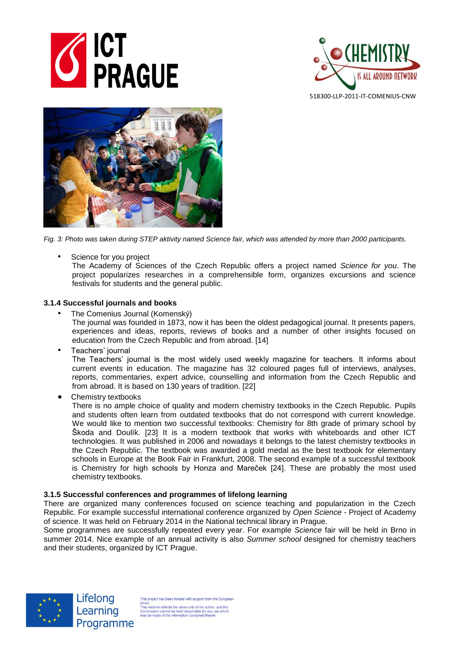





*Fig. 3: Photo was taken during STEP aktivity named Science fair, which was attended by more than 2000 participants.*

Science for you project

The Academy of Sciences of the Czech Republic offers a project named *Science for you*. The project popularizes researches in a comprehensible form, organizes excursions and science festivals for students and the general public.

#### **3.1.4 Successful journals and books**

- The Comenius Journal (Komenský) The journal was founded in 1873, now it has been the oldest pedagogical journal. It presents papers, experiences and ideas, reports, reviews of books and a number of other insights focused on education from the Czech Republic and from abroad. [14]
- Teachers' journal

The Teachers' journal is the most widely used weekly magazine for teachers. It informs about current events in education. The magazine has 32 coloured pages full of interviews, analyses, reports, commentaries, expert advice, counselling and information from the Czech Republic and from abroad. It is based on 130 years of tradition. [22]

Chemistry textbooks

There is no ample choice of quality and modern chemistry textbooks in the Czech Republic. Pupils and students often learn from outdated textbooks that do not correspond with current knowledge. We would like to mention two successful textbooks: Chemistry for 8th grade of primary school by Škoda and Doulík. [23] It is a modern textbook that works with whiteboards and other ICT technologies. It was published in 2006 and nowadays it belongs to the latest chemistry textbooks in the Czech Republic. The textbook was awarded a gold medal as the best textbook for elementary schools in Europe at the Book Fair in Frankfurt, 2008. The second example of a successful textbook is Chemistry for high schools by Honza and Mareček [24]. These are probably the most used chemistry textbooks.

#### **3.1.5 Successful conferences and programmes of lifelong learning**

There are organized many conferences focused on science teaching and popularization in the Czech Republic. For example successful international conference organized by *Open Science* - Project of Academy of science. It was held on February 2014 in the National technical library in Prague.

Some programmes are successfully repeated every year. For example *Science* fair will be held in Brno in summer 2014. Nice example of an annual activity is also *Summer school* designed for chemistry teachers and their students, organized by ICT Prague.



is project has been funded with support from the European Union.<br>This material reflects the views only of the author, and the This material reflects the views only of the author, and the Commission cannot be held responsible for any use which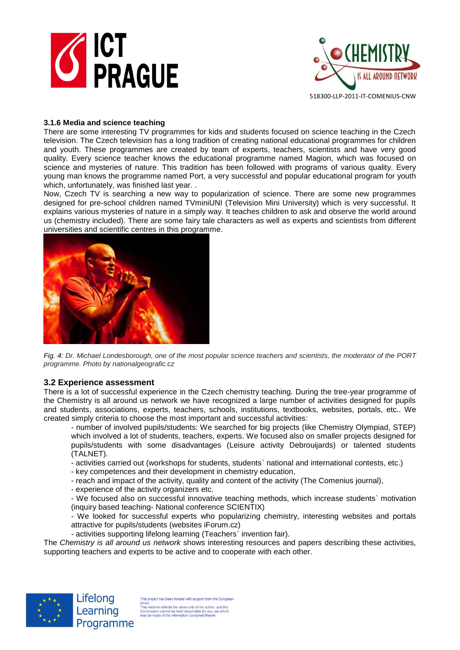



#### **3.1.6 Media and science teaching**

There are some interesting TV programmes for kids and students focused on science teaching in the Czech television. The Czech television has a long tradition of creating national educational programmes for children and youth. These programmes are created by team of experts, teachers, scientists and have very good quality. Every science teacher knows the educational programme named Magion, which was focused on science and mysteries of nature. This tradition has been followed with programs of various quality. Every young man knows the programme named Port, a very successful and popular educational program for youth which, unfortunately, was finished last year. .

Now, Czech TV is searching a new way to popularization of science. There are some new programmes designed for pre-school children named TVminiUNI (Television Mini University) which is very successful. It explains various mysteries of nature in a simply way. It teaches children to ask and observe the world around us (chemistry included). There are some fairy tale characters as well as experts and scientists from different universities and scientific centres in this programme.



*Fig. 4: Dr. Michael Londesborough, one of the most popular science teachers and scientists, the moderator of the PORT programme. Photo by nationalgeografic.cz*

#### **3.2 Experience assessment**

Lifelong

Learning Programme

There is a lot of successful experience in the Czech chemistry teaching. During the tree-year programme of the Chemistry is all around us network we have recognized a large number of activities designed for pupils and students, associations, experts, teachers, schools, institutions, textbooks, websites, portals, etc.. We created simply criteria to choose the most important and successful activities:

- number of involved pupils/students: We searched for big projects (like Chemistry Olympiad, STEP) which involved a lot of students, teachers, experts. We focused also on smaller projects designed for pupils/students with some disadvantages (Leisure activity Debrouijards) or talented students (TALNET).

- activities carried out (workshops for students, students` national and international contests, etc.)
- key competences and their development in chemistry education,
- reach and impact of the activity, quality and content of the activity (The Comenius journal),
- experience of the activity organizers etc.

- We focused also on successful innovative teaching methods, which increase students` motivation (inquiry based teaching- National conference SCIENTIX)

- We looked for successful experts who popularizing chemistry, interesting websites and portals attractive for pupils/students (websites iForum.cz)

- activities supporting lifelong learning (Teachers` invention fair).

The *Chemistry is all around us network* shows interesting resources and papers describing these activities, supporting teachers and experts to be active and to cooperate with each other.



is project has been funded with support from the European Union.<br>This material reflects the views only of the author, and the Commission cannot be held responsible for any use which<br>may be made of the information contained therein.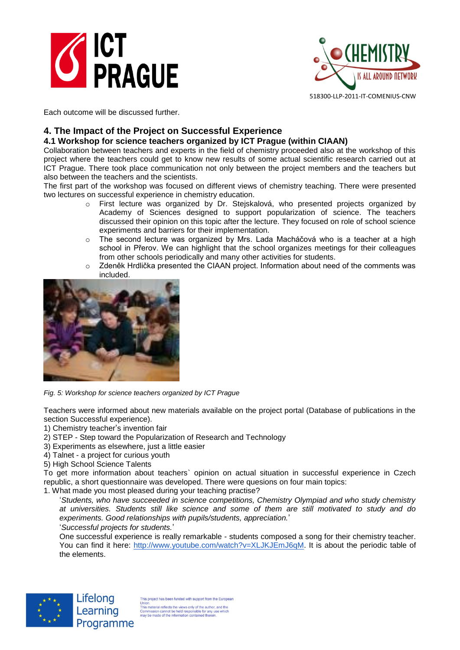



Each outcome will be discussed further.

# **4. The Impact of the Project on Successful Experience**

### **4.1 Workshop for science teachers organized by ICT Prague (within CIAAN)**

Collaboration between teachers and experts in the field of chemistry proceeded also at the workshop of this project where the teachers could get to know new results of some actual scientific research carried out at ICT Prague. There took place communication not only between the project members and the teachers but also between the teachers and the scientists.

The first part of the workshop was focused on different views of chemistry teaching. There were presented two lectures on successful experience in chemistry education.

- o First lecture was organized by Dr. Stejskalová, who presented projects organized by Academy of Sciences designed to support popularization of science. The teachers discussed their opinion on this topic after the lecture. They focused on role of school science experiments and barriers for their implementation.
- $\circ$  The second lecture was organized by Mrs. Lada Macháčová who is a teacher at a high school in Přerov. We can highlight that the school organizes meetings for their colleagues from other schools periodically and many other activities for students.
- Zdeněk Hrdlička presented the CIAAN project. Information about need of the comments was included.



*Fig. 5: Workshop for science teachers organized by ICT Prague*

Teachers were informed about new materials available on the project portal (Database of publications in the section Successful experience).

1) Chemistry teacher's invention fair

- 2) STEP Step toward the Popularization of Research and Technology
- 3) [Experiments as elsewhere, just a little easier](http://chemistrynetwork.pixel-online.org/SUE_database_scheda.php?art_id=5&lop=2&put=&tar=&q=)
- 4) Talnet [a project for curious youth](http://chemistrynetwork.pixel-online.org/SUE_database_scheda.php?art_id=4&lop=2&put=&tar=&q=)
- 5) [High School Science Talents](http://chemistrynetwork.pixel-online.org/SUE_database_scheda.php?art_id=3&lop=2&put=&tar=&q=)

Lifelong

Learning Programme

To get more information about teachers` opinion on actual situation in successful experience in Czech republic, a short questionnaire was developed. There were quesions on four main topics:

1. What made you most pleased during your teaching practise?

'*Students, who have succeeded in science competitions, Chemistry Olympiad and who study chemistry at universities. Students still like science and some of them are still motivated to study and do experiments. Good relationships with pupils/students, appreciation.*' '*Successful projects for students.*'

One successful experience is really remarkable - students composed a song for their chemistry teacher. You can find it here: [http://www.youtube.com/watch?v=XLJKJEmJ6qM.](https://mailex.vscht.cz/owa/redir.aspx?C=Adc_O9ZksEWU1rBGdehRls2j99R6AtEIJyP8heV78luKy5vIyaZ1yFRzGMCN6cDZxtJwR-sLc7s.&URL=http%3a%2f%2fwww.youtube.com%2fwatch%3fv%3dXLJKJEmJ6qM) It is about the periodic table of the elements.



is project has been funded with support from the European Union.<br>This material reflects the views only of the author, and the This material reflects the views only of the author, and the Commission cannot be held responsible for any use which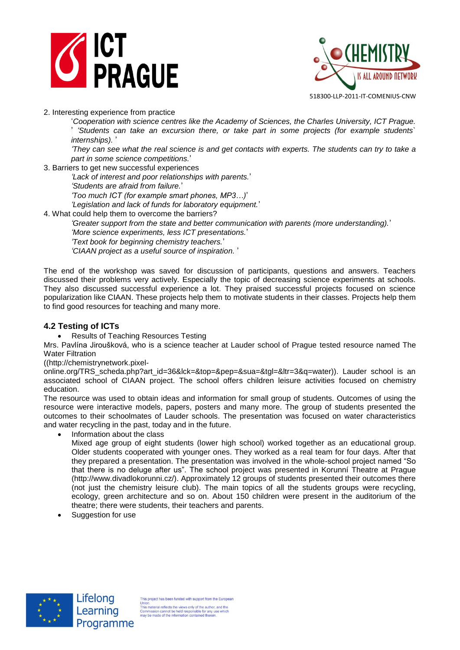



2. Interesting experience from practice

'*Cooperation with science centres like the Academy of Sciences, the Charles University, ICT Prague.* ' *'Students can take an excursion there, or take part in some projects (for example students` internships).* '

*'They can see what the real science is and get contacts with experts. The students can try to take a part in some science competitions.*'

3. Barriers to get new successful experiences

*'Lack of interest and poor relationships with parents.*' *'Students are afraid from failure.*' *'Too much ICT (for example smart phones, MP3…)*'

*'Legislation and lack of funds for laboratory equipment.*'

4. What could help them to overcome the barriers? *'Greater support from the state and better communication with parents (more understanding).*'

*'More science experiments, less ICT presentations.*' *'Text book for beginning chemistry teachers.*'

*'CIAAN project as a useful source of inspiration.* '

The end of the workshop was saved for discussion of participants, questions and answers. Teachers discussed their problems very actively. Especially the topic of decreasing science experiments at schools. They also discussed successful experience a lot. They praised successful projects focused on science popularization like CIAAN. These projects help them to motivate students in their classes. Projects help them to find good resources for teaching and many more.

#### **4.2 Testing of ICTs**

Results of Teaching Resources Testing

Mrs. Pavlína Jiroušková, who is a science teacher at Lauder school of Prague tested resource named The Water Filtration

((http://chemistrynetwork.pixel-

online.org/TRS\_scheda.php?art\_id=36&lck=&top=&pep=&sua=&tgl=&ltr=3&q=water)). Lauder school is an associated school of CIAAN project. The school offers children leisure activities focused on chemistry education.

The resource was used to obtain ideas and information for small group of students. Outcomes of using the resource were interactive models, papers, posters and many more. The group of students presented the outcomes to their schoolmates of Lauder schools. The presentation was focused on water characteristics and water recycling in the past, today and in the future.

Information about the class

Mixed age group of eight students (lower high school) worked together as an educational group. Older students cooperated with younger ones. They worked as a real team for four days. After that they prepared a presentation. The presentation was involved in the whole-school project named "So that there is no deluge after us". The school project was presented in Korunní Theatre at Prague (http://www.divadlokorunni.cz/). Approximately 12 groups of students presented their outcomes there (not just the chemistry leisure club). The main topics of all the students groups were recycling, ecology, green architecture and so on. About 150 children were present in the auditorium of the theatre; there were students, their teachers and parents.

Suggestion for use

Lifelong

Learning Programme

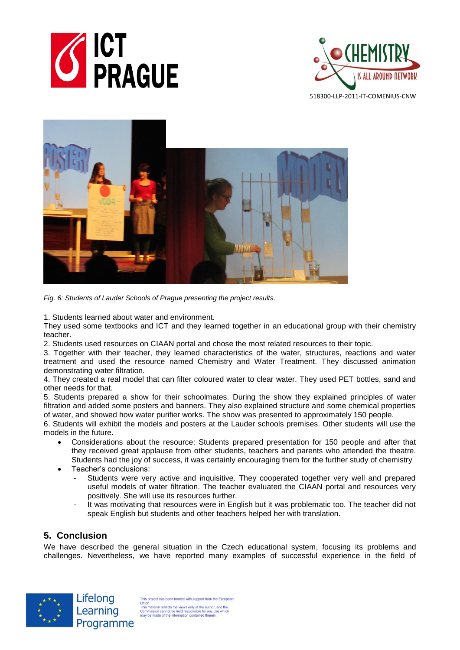





*Fig. 6: Students of Lauder Schools of Prague presenting the project results.*

1. Students learned about water and environment.

They used some textbooks and ICT and they learned together in an educational group with their chemistry teacher.

2. Students used resources on CIAAN portal and chose the most related resources to their topic.

3. Together with their teacher, they learned characteristics of the water, structures, reactions and water treatment and used the resource named Chemistry and Water Treatment. They discussed animation demonstrating water filtration.

4. They created a real model that can filter coloured water to clear water. They used PET bottles, sand and other needs for that.

5. Students prepared a show for their schoolmates. During the show they explained principles of water filtration and added some posters and banners. They also explained structure and some chemical properties of water, and showed how water purifier works. The show was presented to approximately 150 people.

6. Students will exhibit the models and posters at the Lauder schools premises. Other students will use the models in the future.

- Considerations about the resource: Students prepared presentation for 150 people and after that they received great applause from other students, teachers and parents who attended the theatre. Students had the joy of success, it was certainly encouraging them for the further study of chemistry
- Teacher's conclusions:
	- Students were very active and inquisitive. They cooperated together very well and prepared useful models of water filtration. The teacher evaluated the CIAAN portal and resources very positively. She will use its resources further.
	- It was motivating that resources were in English but it was problematic too. The teacher did not speak English but students and other teachers helped her with translation.

# **5. Conclusion**

Lifelong

Learning Programme

We have described the general situation in the Czech educational system, focusing its problems and challenges. Nevertheless, we have reported many examples of successful experience in the field of



his project has been funded with support from the European Union.<br>This material reflects the views only of the author, and the Commission cannot be held responsible for any use which<br>may be made of the information contained therein.